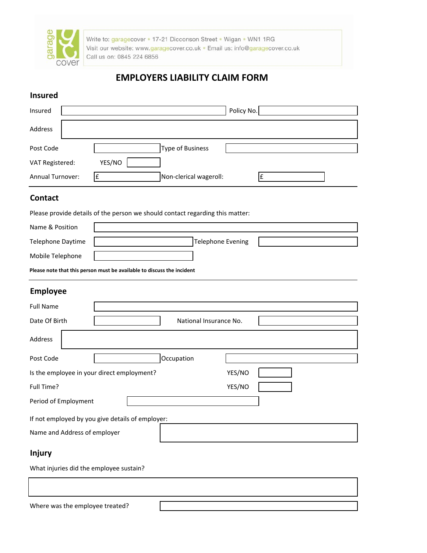

Write to: garagecover . 17-21 Dicconson Street . Wigan . WN1 1RG Visit our website: www.garagecover.co.uk · Email us: info@garagecover.co.uk Call us on: 0845 224 6856

# **EMPLOYERS LIABILITY CLAIM FORM**

### **Insured**

| Insured                 | Policy No.              |
|-------------------------|-------------------------|
| Address                 |                         |
| Post Code               | <b>Type of Business</b> |
| VAT Registered:         | YES/NO                  |
| <b>Annual Turnover:</b> | Non-clerical wageroll:  |

### **Contact**

Please provide details of the person we should contact regarding this matter:

| Name & Position   |                          |  |
|-------------------|--------------------------|--|
| Telephone Daytime | <b>Telephone Evening</b> |  |
| Mobile Telephone  |                          |  |

**Please note that this person must be available to discuss the incident**

# **Employee**

| <b>Full Name</b>                                 |            |        |  |  |
|--------------------------------------------------|------------|--------|--|--|
| Date Of Birth<br>National Insurance No.          |            |        |  |  |
| Address                                          |            |        |  |  |
| Post Code                                        | Occupation |        |  |  |
| Is the employee in your direct employment?       |            | YES/NO |  |  |
| Full Time?                                       |            | YES/NO |  |  |
| Period of Employment                             |            |        |  |  |
| If not employed by you give details of employer: |            |        |  |  |
| Name and Address of employer                     |            |        |  |  |
| <b>Injury</b>                                    |            |        |  |  |
| What injuries did the employee sustain?          |            |        |  |  |

Where was the employee treated?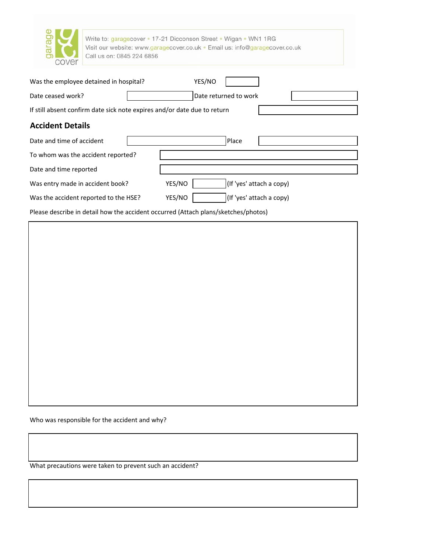| ara<br>cover                           | Write to: garagecover • 17-21 Dicconson Street • Wigan • WN1 1RG<br>Visit our website: www.garagecover.co.uk · Email us: info@garagecover.co.uk<br>Call us on: 0845 224 6856 |  |  |  |
|----------------------------------------|------------------------------------------------------------------------------------------------------------------------------------------------------------------------------|--|--|--|
| Was the employee detained in hospital? | YES/NO                                                                                                                                                                       |  |  |  |
| Date ceased work?                      | Date returned to work                                                                                                                                                        |  |  |  |
|                                        | If still absent confirm date sick note expires and/or date due to return                                                                                                     |  |  |  |
| <b>Accident Details</b>                |                                                                                                                                                                              |  |  |  |
| Date and time of accident              | Place                                                                                                                                                                        |  |  |  |
| To whom was the accident reported?     |                                                                                                                                                                              |  |  |  |
| Date and time reported                 |                                                                                                                                                                              |  |  |  |
| Was entry made in accident book?       | (If 'yes' attach a copy)<br>YES/NO                                                                                                                                           |  |  |  |
| Was the accident reported to the HSE?  | YES/NO<br>(If 'yes' attach a copy)                                                                                                                                           |  |  |  |

Please describe in detail how the accident occurred (Attach plans/sketches/photos)

Who was responsible for the accident and why?

What precautions were taken to prevent such an accident?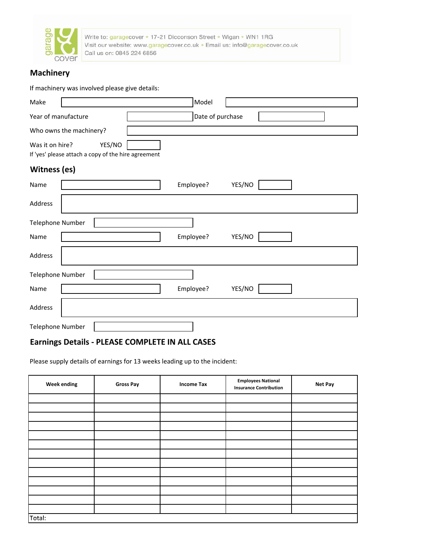

Write to: garagecover . 17-21 Dicconson Street . Wigan . WN1 1RG Visit our website: www.garagecover.co.uk . Email us: info@garagecover.co.uk Call us on: 0845 224 6856

# **Machinery**

#### If machinery was involved please give details:

| Make                                                                             | Model               |
|----------------------------------------------------------------------------------|---------------------|
| Year of manufacture                                                              | Date of purchase    |
| Who owns the machinery?                                                          |                     |
| YES/NO<br>Was it on hire?<br>If 'yes' please attach a copy of the hire agreement |                     |
| <b>Witness (es)</b>                                                              |                     |
| Name                                                                             | Employee?<br>YES/NO |
| Address                                                                          |                     |
| <b>Telephone Number</b>                                                          |                     |
| Name                                                                             | Employee?<br>YES/NO |
| Address                                                                          |                     |
| Telephone Number                                                                 |                     |
| Name                                                                             | YES/NO<br>Employee? |
| Address                                                                          |                     |
| <b>Telephone Number</b>                                                          |                     |

## **Earnings Details ‐ PLEASE COMPLETE IN ALL CASES**

Please supply details of earnings for 13 weeks leading up to the incident:

| <b>Week ending</b> | <b>Gross Pay</b> | <b>Income Tax</b> | <b>Employees National</b><br><b>Insurance Contribution</b> | Net Pay |
|--------------------|------------------|-------------------|------------------------------------------------------------|---------|
|                    |                  |                   |                                                            |         |
|                    |                  |                   |                                                            |         |
|                    |                  |                   |                                                            |         |
|                    |                  |                   |                                                            |         |
|                    |                  |                   |                                                            |         |
|                    |                  |                   |                                                            |         |
|                    |                  |                   |                                                            |         |
|                    |                  |                   |                                                            |         |
|                    |                  |                   |                                                            |         |
|                    |                  |                   |                                                            |         |
|                    |                  |                   |                                                            |         |
|                    |                  |                   |                                                            |         |
|                    |                  |                   |                                                            |         |
| Total:             |                  |                   |                                                            |         |